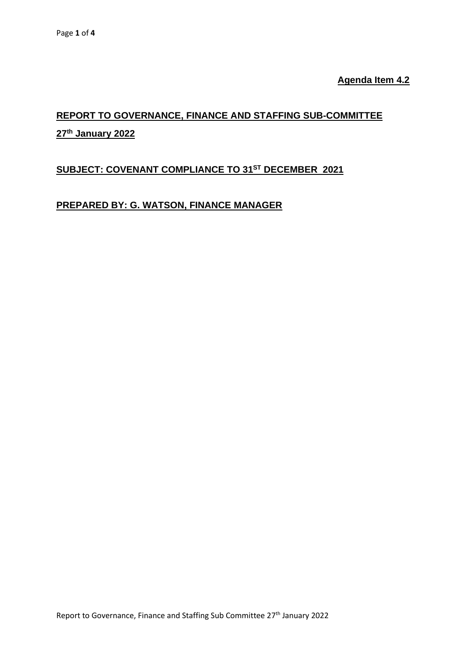**Agenda Item 4.2**

# **REPORT TO GOVERNANCE, FINANCE AND STAFFING SUB-COMMITTEE 27th January 2022**

## **SUBJECT: COVENANT COMPLIANCE TO 31 ST DECEMBER 2021**

## **PREPARED BY: G. WATSON, FINANCE MANAGER**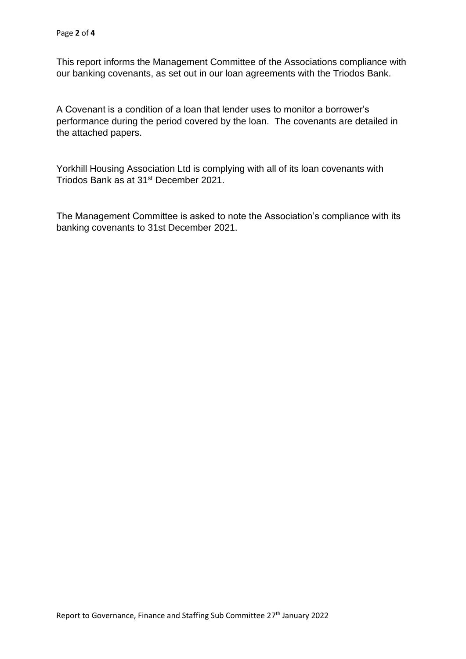This report informs the Management Committee of the Associations compliance with our banking covenants, as set out in our loan agreements with the Triodos Bank.

A Covenant is a condition of a loan that lender uses to monitor a borrower's performance during the period covered by the loan. The covenants are detailed in the attached papers.

Yorkhill Housing Association Ltd is complying with all of its loan covenants with Triodos Bank as at 31<sup>st</sup> December 2021.

The Management Committee is asked to note the Association's compliance with its banking covenants to 31st December 2021.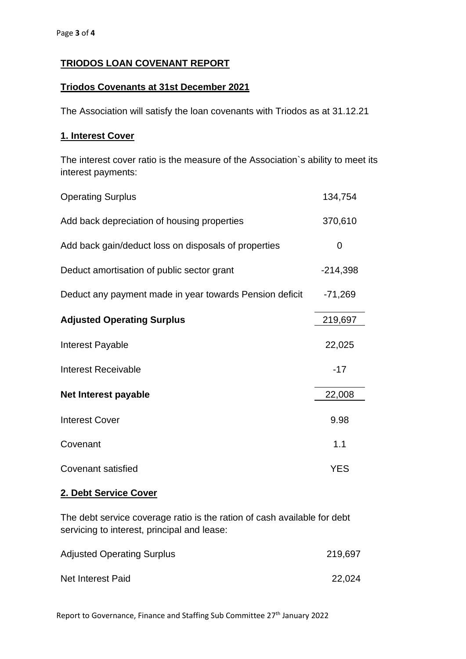## **TRIODOS LOAN COVENANT REPORT**

#### **Triodos Covenants at 31st December 2021**

The Association will satisfy the loan covenants with Triodos as at 31.12.21

#### **1. Interest Cover**

The interest cover ratio is the measure of the Association`s ability to meet its interest payments:

| <b>Operating Surplus</b>                                | 134,754    |
|---------------------------------------------------------|------------|
| Add back depreciation of housing properties             | 370,610    |
| Add back gain/deduct loss on disposals of properties    | 0          |
| Deduct amortisation of public sector grant              | $-214,398$ |
| Deduct any payment made in year towards Pension deficit | $-71,269$  |
| <b>Adjusted Operating Surplus</b>                       | 219,697    |
| Interest Payable                                        | 22,025     |
| <b>Interest Receivable</b>                              | $-17$      |
| Net Interest payable                                    | 22,008     |
| <b>Interest Cover</b>                                   | 9.98       |
| Covenant                                                | 1.1        |
| <b>Covenant satisfied</b>                               | <b>YES</b> |

#### **2. Debt Service Cover**

The debt service coverage ratio is the ration of cash available for debt servicing to interest, principal and lease:

| <b>Adjusted Operating Surplus</b> | 219,697 |
|-----------------------------------|---------|
| Net Interest Paid                 | 22,024  |